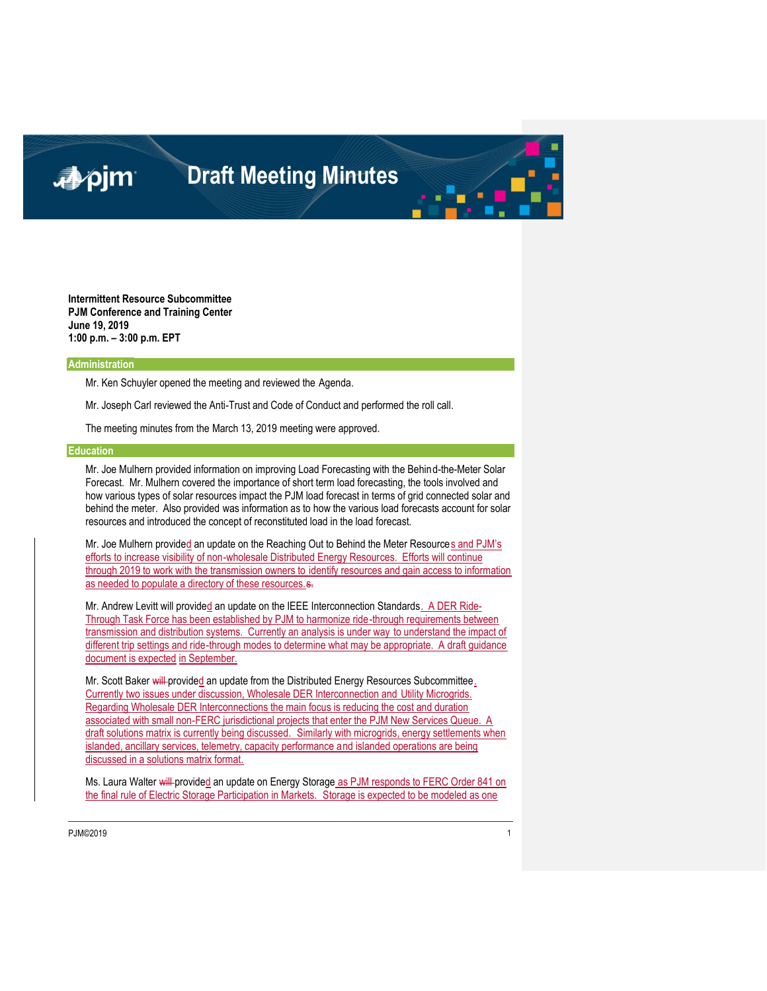### ■pjm

### **Draft Meeting Minutes**

**Intermittent Resource Subcommittee PJM Conference and Training Center June 19, 2019 1:00 p.m. – 3:00 p.m. EPT**

#### **Administration**

Mr. Ken Schuyler opened the meeting and reviewed the Agenda.

Mr. Joseph Carl reviewed the Anti-Trust and Code of Conduct and performed the roll call.

The meeting minutes from the March 13, 2019 meeting were approved.

#### **Education**

Mr. Joe Mulhern provided information on improving Load Forecasting with the Behind-the-Meter Solar Forecast. Mr. Mulhern covered the importance of short term load forecasting, the tools involved and how various types of solar resources impact the PJM load forecast in terms of grid connected solar and behind the meter. Also provided was information as to how the various load forecasts account for solar resources and introduced the concept of reconstituted load in the load forecast.

Mr. Joe Mulhern provided an update on the Reaching Out to Behind the Meter Resources and PJM's efforts to increase visibility of non-wholesale Distributed Energy Resources. Efforts will continue through 2019 to work with the transmission owners to identify resources and gain access to information as needed to populate a directory of these resources.  $s$ .

Mr. Andrew Levitt will provided an update on the IEEE Interconnection Standards. A DER Ride-Through Task Force has been established by PJM to harmonize ride-through requirements between transmission and distribution systems. Currently an analysis is under way to understand the impact of different trip settings and ride-through modes to determine what may be appropriate. A draft guidance document is expected in September.

Mr. Scott Baker will provided an update from the Distributed Energy Resources Subcommittee. Currently two issues under discussion, Wholesale DER Interconnection and Utility Microgrids. Regarding Wholesale DER Interconnections the main focus is reducing the cost and duration associated with small non-FERC jurisdictional projects that enter the PJM New Services Queue. A draft solutions matrix is currently being discussed. Similarly with microgrids, energy settlements when islanded, ancillary services, telemetry, capacity performance and islanded operations are being discussed in a solutions matrix format.

Ms. Laura Walter will provided an update on Energy Storage as PJM responds to FERC Order 841 on the final rule of Electric Storage Participation in Markets. Storage is expected to be modeled as one

PJM©2019 1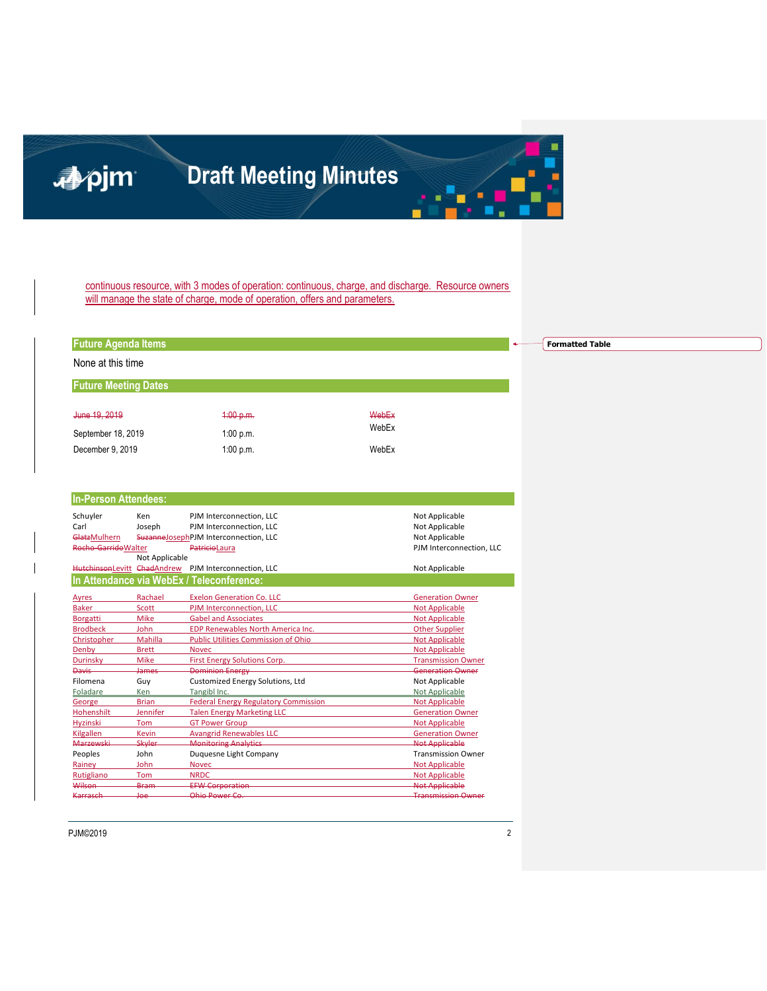## 心心

## **Draft Meeting Minutes**

continuous resource, with 3 modes of operation: continuous, charge, and discharge. Resource owners will manage the state of charge, mode of operation, offers and parameters.

| <b>Future Agenda Items</b>  |                 |                                                      |       |                           |  |  |  |
|-----------------------------|-----------------|------------------------------------------------------|-------|---------------------------|--|--|--|
| None at this time           |                 |                                                      |       |                           |  |  |  |
|                             |                 |                                                      |       |                           |  |  |  |
| <b>Future Meeting Dates</b> |                 |                                                      |       |                           |  |  |  |
| June 19, 2019               |                 | 4:00 p.m.                                            | WebEx |                           |  |  |  |
|                             |                 |                                                      | WebEx |                           |  |  |  |
| September 18, 2019          |                 | 1:00 p.m.                                            |       |                           |  |  |  |
| December 9, 2019            |                 | 1:00 p.m.                                            | WebEx |                           |  |  |  |
|                             |                 |                                                      |       |                           |  |  |  |
|                             |                 |                                                      |       |                           |  |  |  |
| <b>In-Person Attendees:</b> |                 |                                                      |       |                           |  |  |  |
| Schuyler                    | Ken             | PJM Interconnection, LLC                             |       | Not Applicable            |  |  |  |
| Carl                        | Joseph          | PJM Interconnection, LLC                             |       | Not Applicable            |  |  |  |
| GlatzMulhern                |                 | SuzanneJosephPJM Interconnection, LLC                |       | Not Applicable            |  |  |  |
| Rocho-Garrido Walter        |                 | PatricioLaura                                        |       | PJM Interconnection, LLC  |  |  |  |
|                             | Not Applicable  |                                                      |       |                           |  |  |  |
|                             |                 | HutchinsonLevitt ChadAndrew PJM Interconnection, LLC |       | Not Applicable            |  |  |  |
|                             |                 | In Attendance via WebEx / Teleconference:            |       |                           |  |  |  |
|                             |                 |                                                      |       |                           |  |  |  |
| Ayres                       | Rachael         | <b>Exelon Generation Co. LLC</b>                     |       | <b>Generation Owner</b>   |  |  |  |
| <b>Baker</b>                | <b>Scott</b>    | PJM Interconnection, LLC                             |       | <b>Not Applicable</b>     |  |  |  |
| Borgatti                    | Mike            | <b>Gabel and Associates</b>                          |       | <b>Not Applicable</b>     |  |  |  |
| <b>Brodbeck</b>             | John            | <b>EDP Renewables North America Inc.</b>             |       | <b>Other Supplier</b>     |  |  |  |
| Christopher                 | Mahilla         | <b>Public Utilities Commission of Ohio</b>           |       | <b>Not Applicable</b>     |  |  |  |
| Denby                       | <b>Brett</b>    | <b>Novec</b>                                         |       | <b>Not Applicable</b>     |  |  |  |
| Durinsky                    | Mike            | First Energy Solutions Corp.                         |       | <b>Transmission Owner</b> |  |  |  |
| Davis-                      | James           | <b>Dominion Energy</b>                               |       | <b>Generation Owner</b>   |  |  |  |
| Filomena                    | Guy             | Customized Energy Solutions, Ltd                     |       | Not Applicable            |  |  |  |
| Foladare                    | Ken             | Tangibl Inc.                                         |       | Not Applicable            |  |  |  |
| George                      | <b>Brian</b>    | <b>Federal Energy Regulatory Commission</b>          |       | <b>Not Applicable</b>     |  |  |  |
| Hohenshilt                  | <b>Jennifer</b> | <b>Talen Energy Marketing LLC</b>                    |       | <b>Generation Owner</b>   |  |  |  |
| <b>Hyzinski</b>             | Tom             | <b>GT Power Group</b>                                |       | <b>Not Applicable</b>     |  |  |  |
| Kilgallen                   | <b>Kevin</b>    | <b>Avangrid Renewables LLC</b>                       |       | <b>Generation Owner</b>   |  |  |  |
| <b>Marzewski</b>            | Skyler          | <b>Monitoring Analytics</b>                          |       | <b>Not Applicable</b>     |  |  |  |
| Peoples                     | John            | Duquesne Light Company                               |       | <b>Transmission Owner</b> |  |  |  |
| Rainey                      | John            | <b>Novec</b>                                         |       | <b>Not Applicable</b>     |  |  |  |
| Rutigliano                  | Tom             | <b>NRDC</b>                                          |       | <b>Not Applicable</b>     |  |  |  |
| Wilson                      | Bram            | <b>EFW Corporation</b>                               |       | <b>Not Applicable</b>     |  |  |  |
| Karrasch                    | <b>Joe</b>      | Ohio Power Co                                        |       | <b>Transmission Owner</b> |  |  |  |

**Formatted Table**

PJM©2019 2